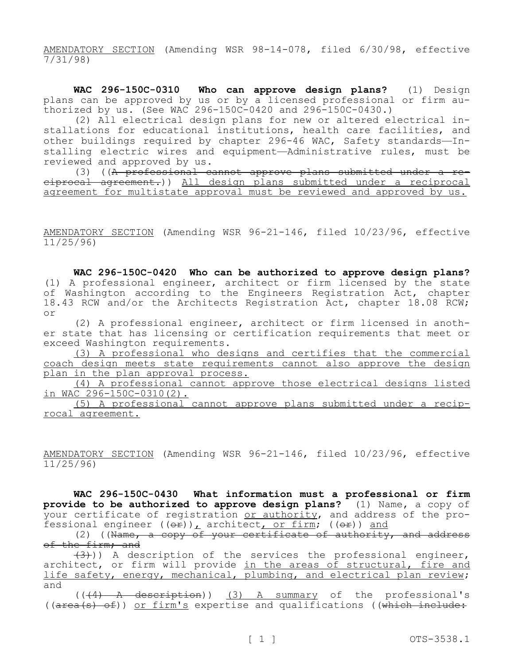AMENDATORY SECTION (Amending WSR 98-14-078, filed 6/30/98, effective 7/31/98)

**WAC 296-150C-0310 Who can approve design plans?** (1) Design plans can be approved by us or by a licensed professional or firm authorized by us. (See WAC 296-150C-0420 and 296-150C-0430.)

(2) All electrical design plans for new or altered electrical installations for educational institutions, health care facilities, and other buildings required by chapter 296-46 WAC, Safety standards—Installing electric wires and equipment—Administrative rules, must be reviewed and approved by us.

(3) ((A professional cannot approve plans submitted under a reciprocal agreement.)) All design plans submitted under a reciprocal agreement for multistate approval must be reviewed and approved by us.

AMENDATORY SECTION (Amending WSR 96-21-146, filed 10/23/96, effective 11/25/96)

**WAC 296-150C-0420 Who can be authorized to approve design plans?**  (1) A professional engineer, architect or firm licensed by the state of Washington according to the Engineers Registration Act, chapter 18.43 RCW and/or the Architects Registration Act, chapter 18.08 RCW; or

(2) A professional engineer, architect or firm licensed in another state that has licensing or certification requirements that meet or exceed Washington requirements.

(3) A professional who designs and certifies that the commercial coach design meets state requirements cannot also approve the design plan in the plan approval process.

(4) A professional cannot approve those electrical designs listed in WAC 296-150C-0310(2).

(5) A professional cannot approve plans submitted under a reciprocal agreement.

AMENDATORY SECTION (Amending WSR 96-21-146, filed 10/23/96, effective 11/25/96)

**WAC 296-150C-0430 What information must a professional or firm provide to be authorized to approve design plans?** (1) Name, a copy of your certificate of registration or authority, and address of the professional engineer  $((\theta \cdot \mathbf{r}))$ , architect, or firm;  $((\theta \cdot \mathbf{r}))$  and

 $(2)$  ((Name, a copy of your certificate of authority, and address of the firm; and

 $(3)$ )) A description of the services the professional engineer, architect, or firm will provide in the areas of structural, fire and life safety, energy, mechanical, plumbing, and electrical plan review; and

(((4) A description)) (3) A summary of the professional's ((area(s) of)) or firm's expertise and qualifications ((which include: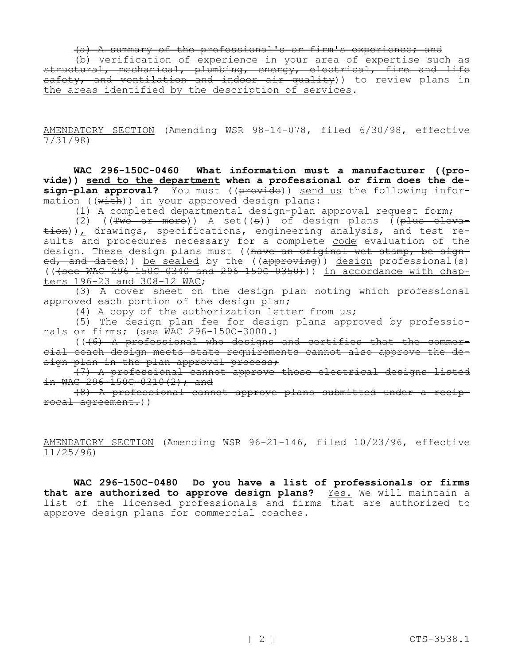(a) A summary of the professional's or firm's experience; and

(b) Verification of experience in your area of expertise such as structural, mechanical, plumbing, energy, electrical, fire and life safety, and ventilation and indoor air quality)) to review plans in the areas identified by the description of services.

AMENDATORY SECTION (Amending WSR 98-14-078, filed 6/30/98, effective 7/31/98)

**WAC 296-150C-0460 What information must a manufacturer ((provide)) send to the department when a professional or firm does the de**sign-plan approval? You must ((provide)) send us the following information ((with)) in your approved design plans:

(1) A completed departmental design-plan approval request form;

(2) ( $(\overline{\text{Two or more}})$ ) A set( $(\overline{\text{s}})$ ) of design plans ( $(\overline{\text{plus either}})$  $\pm$ ion)), drawings, specifications, engineering analysis, and test results and procedures necessary for a complete code evaluation of the design. These design plans must ((have an original wet stamp, be signe<del>d, and dated</del>)) <u>be sealed</u> by the ((<del>approving</del>)) <u>design</u> professional(s)  $((+see$  WAC  $296-150C-0340$  and  $296-150C-0350)$ ) in accordance with chapters 196-23 and 308-12 WAC;

(3) A cover sheet on the design plan noting which professional approved each portion of the design plan;

(4) A copy of the authorization letter from us;

(5) The design plan fee for design plans approved by professionals or firms; (see WAC 296-150C-3000.)

(((6) A professional who designs and certifies that the commercial coach design meets state requirements cannot also approve the design plan in the plan approval process;

(7) A professional cannot approve those electrical designs listed in WAC 296-150C-0310(2); and

(8) A professional cannot approve plans submitted under a reciprocal agreement.))

AMENDATORY SECTION (Amending WSR 96-21-146, filed 10/23/96, effective 11/25/96)

**WAC 296-150C-0480 Do you have a list of professionals or firms**  that are authorized to approve design plans? Yes. We will maintain a list of the licensed professionals and firms that are authorized to approve design plans for commercial coaches.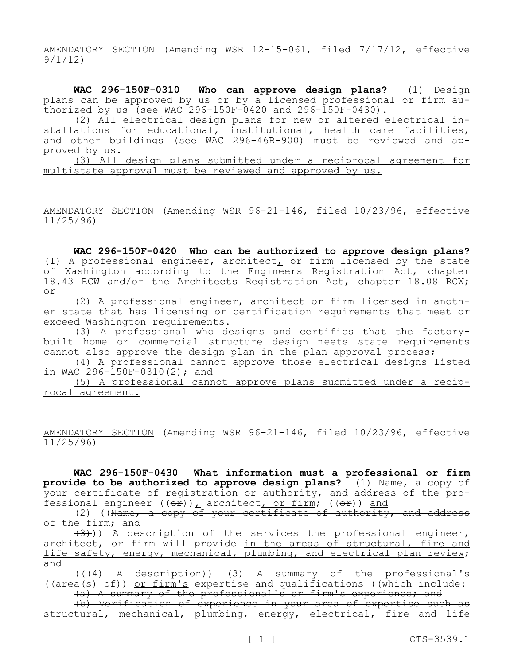AMENDATORY SECTION (Amending WSR 12-15-061, filed 7/17/12, effective 9/1/12)

**WAC 296-150F-0310 Who can approve design plans?** (1) Design plans can be approved by us or by a licensed professional or firm authorized by us (see WAC 296-150F-0420 and 296-150F-0430).

(2) All electrical design plans for new or altered electrical installations for educational, institutional, health care facilities, and other buildings (see WAC 296-46B-900) must be reviewed and approved by us.

(3) All design plans submitted under a reciprocal agreement for multistate approval must be reviewed and approved by us.

AMENDATORY SECTION (Amending WSR 96-21-146, filed 10/23/96, effective  $11/25/96$ 

**WAC 296-150F-0420 Who can be authorized to approve design plans?**  (1) A professional engineer, architect, or firm licensed by the state of Washington according to the Engineers Registration Act, chapter 18.43 RCW and/or the Architects Registration Act, chapter 18.08 RCW; or

(2) A professional engineer, architect or firm licensed in another state that has licensing or certification requirements that meet or exceed Washington requirements.

(3) A professional who designs and certifies that the factorybuilt home or commercial structure design meets state requirements cannot also approve the design plan in the plan approval process;

(4) A professional cannot approve those electrical designs listed in WAC  $296 - 150F - 0310(2)$ ; and

(5) A professional cannot approve plans submitted under a reciprocal agreement.

AMENDATORY SECTION (Amending WSR 96-21-146, filed 10/23/96, effective  $11/25/96$ 

**WAC 296-150F-0430 What information must a professional or firm provide to be authorized to approve design plans?** (1) Name, a copy of your certificate of registration <u>or authority</u>, and address of the professional engineer  $((\theta \oplus f)_L$  architect, or firm;  $((\theta \oplus f))$  and

(2) ((Name, a copy of your certificate of authority, and address of the firm; and

 $(3)$ )) A description of the services the professional engineer, architect, or firm will provide in the areas of structural, fire and life safety, energy, mechanical, plumbing, and electrical plan review; and

 $((+4)$  A description)) (3) A summary of the professional's  $((area(s) of))$  or firm's expertise and qualifications ((which include:

(a) A summary of the professional's or firm's experience; and (b) Verification of experience in your area of expertise such as structural, mechanical, plumbing, energy, electrical, fire and life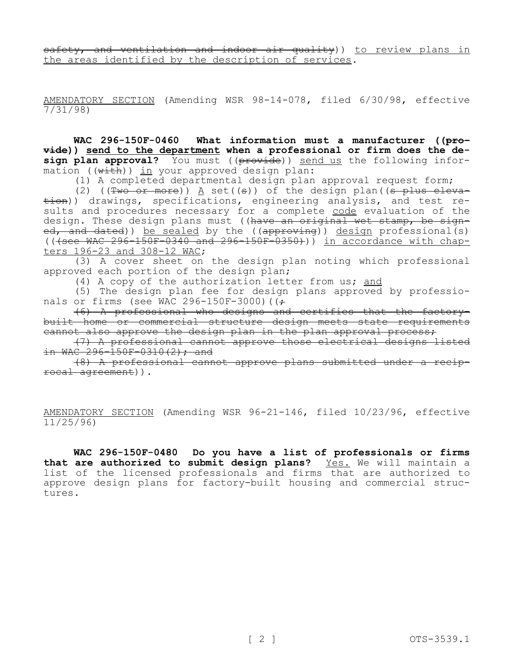safety, and ventilation and indoor air quality)) to review plans in the areas identified by the description of services.

AMENDATORY SECTION (Amending WSR 98-14-078, filed 6/30/98, effective  $7/31/98$ 

**WAC 296-150F-0460 What information must a manufacturer ((provide)) send to the department when a professional or firm does the design plan approval?** You must ((provide)) send us the following information  $((with))$  in your approved design plan:

(1) A completed departmental design plan approval request form;

(2) ( $(Two or more)$ )  $A$  set((s)) of the design plan((s plus elevation)) drawings, specifications, engineering analysis, and test results and procedures necessary for a complete code evaluation of the design. These design plans must ((have an original wet stamp, be signed, and dated)) be sealed by the ((approving)) design professional(s)  $($  ( $\sqrt{15}$   $\sqrt{36}$   $\sqrt{150}$   $\sqrt{500}$   $\sqrt{150}$   $\sqrt{150}$   $\sqrt{296}$   $\sqrt{150}$   $\sqrt{150}$   $\sqrt{150}$   $\sqrt{150}$   $\sqrt{150}$   $\sqrt{150}$   $\sqrt{150}$   $\sqrt{150}$   $\sqrt{150}$   $\sqrt{150}$   $\sqrt{150}$   $\sqrt{150}$   $\sqrt{150}$   $\sqrt{150}$   $\sqrt{150}$ ters 196-23 and 308-12 WAC;

(3) A cover sheet on the design plan noting which professional approved each portion of the design plan;

(4) A copy of the authorization letter from us; and

(5) The design plan fee for design plans approved by professionals or firms (see WAC 296-150F-3000) ( $\left(\frac{1}{r}\right)$ 

(6) A professional who designs and certifies that the factorybuilt home or commercial structure design meets state requirements cannot also approve the design plan in the plan approval process;

(7) A professional cannot approve those electrical designs listed in WAC  $296 - 150F - 0310(2)$ ; and

(8) A professional cannot approve plans submitted under a reciprocal agreement)).

AMENDATORY SECTION (Amending WSR 96-21-146, filed 10/23/96, effective 11/25/96)

**WAC 296-150F-0480 Do you have a list of professionals or firms that are authorized to submit design plans?** Yes. We will maintain a list of the licensed professionals and firms that are authorized to approve design plans for factory-built housing and commercial structures.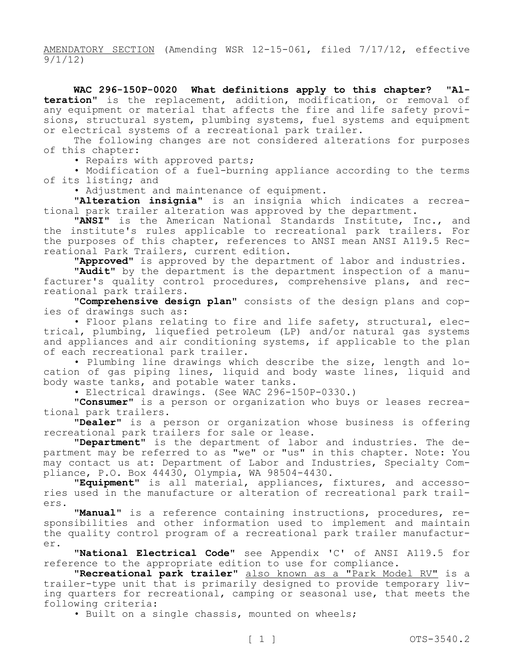AMENDATORY SECTION (Amending WSR 12-15-061, filed 7/17/12, effective 9/1/12)

**WAC 296-150P-0020 What definitions apply to this chapter? "Alteration"** is the replacement, addition, modification, or removal of any equipment or material that affects the fire and life safety provisions, structural system, plumbing systems, fuel systems and equipment or electrical systems of a recreational park trailer.

The following changes are not considered alterations for purposes of this chapter:

• Repairs with approved parts;

• Modification of a fuel-burning appliance according to the terms of its listing; and

• Adjustment and maintenance of equipment.

**"Alteration insignia"** is an insignia which indicates a recreational park trailer alteration was approved by the department.

**"ANSI"** is the American National Standards Institute, Inc., and the institute's rules applicable to recreational park trailers. For the purposes of this chapter, references to ANSI mean ANSI A119.5 Recreational Park Trailers, current edition.

**"Approved"** is approved by the department of labor and industries.

**"Audit"** by the department is the department inspection of a manufacturer's quality control procedures, comprehensive plans, and recreational park trailers.

**"Comprehensive design plan"** consists of the design plans and copies of drawings such as:

• Floor plans relating to fire and life safety, structural, electrical, plumbing, liquefied petroleum (LP) and/or natural gas systems and appliances and air conditioning systems, if applicable to the plan of each recreational park trailer.

• Plumbing line drawings which describe the size, length and location of gas piping lines, liquid and body waste lines, liquid and body waste tanks, and potable water tanks.

• Electrical drawings. (See WAC 296-150P-0330.)

**"Consumer"** is a person or organization who buys or leases recreational park trailers.

**"Dealer"** is a person or organization whose business is offering recreational park trailers for sale or lease.

**"Department"** is the department of labor and industries. The department may be referred to as "we" or "us" in this chapter. Note: You may contact us at: Department of Labor and Industries, Specialty Compliance, P.O. Box 44430, Olympia, WA 98504-4430.

**"Equipment"** is all material, appliances, fixtures, and accessories used in the manufacture or alteration of recreational park trailers.

**"Manual"** is a reference containing instructions, procedures, responsibilities and other information used to implement and maintain the quality control program of a recreational park trailer manufacturer.

**"National Electrical Code"** see Appendix 'C' of ANSI A119.5 for reference to the appropriate edition to use for compliance.

**"Recreational park trailer"** also known as a "Park Model RV" is a trailer-type unit that is primarily designed to provide temporary living quarters for recreational, camping or seasonal use, that meets the following criteria:

• Built on a single chassis, mounted on wheels;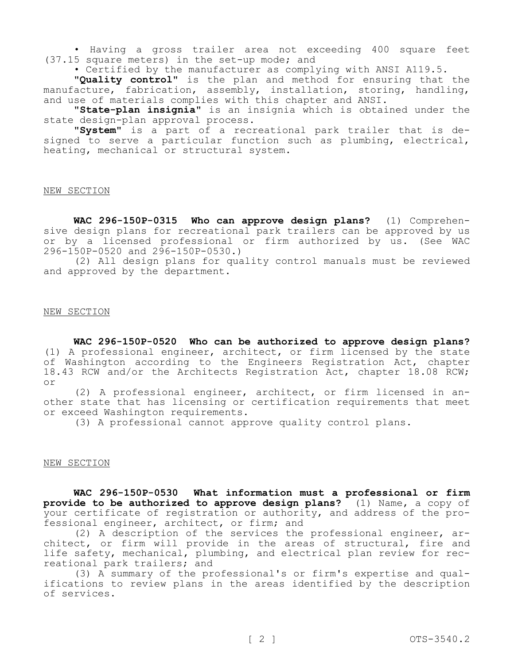• Having a gross trailer area not exceeding 400 square feet (37.15 square meters) in the set-up mode; and

• Certified by the manufacturer as complying with ANSI A119.5.

**"Quality control"** is the plan and method for ensuring that the manufacture, fabrication, assembly, installation, storing, handling, and use of materials complies with this chapter and ANSI.

**"State-plan insignia"** is an insignia which is obtained under the state design-plan approval process.

**"System"** is a part of a recreational park trailer that is designed to serve a particular function such as plumbing, electrical, heating, mechanical or structural system.

### NEW SECTION

**WAC 296-150P-0315 Who can approve design plans?** (1) Comprehensive design plans for recreational park trailers can be approved by us or by a licensed professional or firm authorized by us. (See WAC 296-150P-0520 and 296-150P-0530.)

(2) All design plans for quality control manuals must be reviewed and approved by the department.

## NEW SECTION

**WAC 296-150P-0520 Who can be authorized to approve design plans?**  (1) A professional engineer, architect, or firm licensed by the state of Washington according to the Engineers Registration Act, chapter 18.43 RCW and/or the Architects Registration Act, chapter 18.08 RCW; or

(2) A professional engineer, architect, or firm licensed in another state that has licensing or certification requirements that meet or exceed Washington requirements.

(3) A professional cannot approve quality control plans.

### NEW SECTION

**WAC 296-150P-0530 What information must a professional or firm provide to be authorized to approve design plans?** (1) Name, a copy of your certificate of registration or authority, and address of the professional engineer, architect, or firm; and

(2) A description of the services the professional engineer, architect, or firm will provide in the areas of structural, fire and life safety, mechanical, plumbing, and electrical plan review for recreational park trailers; and

(3) A summary of the professional's or firm's expertise and qualifications to review plans in the areas identified by the description of services.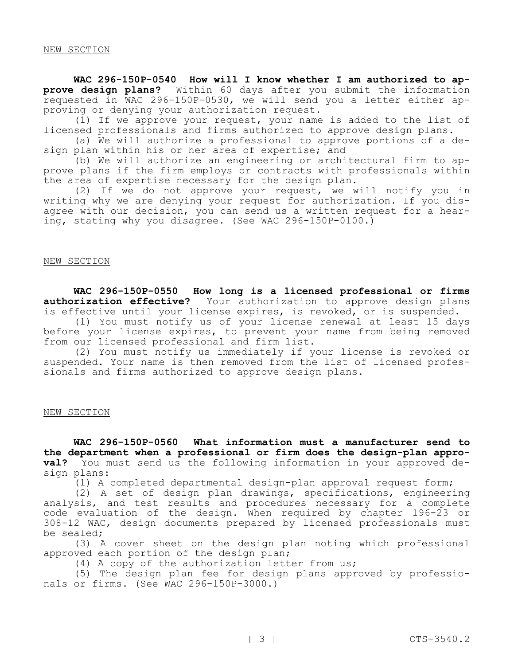### NEW SECTION

**WAC 296-150P-0540 How will I know whether I am authorized to approve design plans?** Within 60 days after you submit the information requested in WAC 296-150P-0530, we will send you a letter either approving or denying your authorization request.

(1) If we approve your request, your name is added to the list of licensed professionals and firms authorized to approve design plans.

(a) We will authorize a professional to approve portions of a design plan within his or her area of expertise; and

(b) We will authorize an engineering or architectural firm to approve plans if the firm employs or contracts with professionals within the area of expertise necessary for the design plan.

(2) If we do not approve your request, we will notify you in writing why we are denying your request for authorization. If you disagree with our decision, you can send us a written request for a hearing, stating why you disagree. (See WAC 296-150P-0100.)

## NEW SECTION

**WAC 296-150P-0550 How long is a licensed professional or firms authorization effective?** Your authorization to approve design plans is effective until your license expires, is revoked, or is suspended.

(1) You must notify us of your license renewal at least 15 days before your license expires, to prevent your name from being removed from our licensed professional and firm list.

(2) You must notify us immediately if your license is revoked or suspended. Your name is then removed from the list of licensed professionals and firms authorized to approve design plans.

### NEW SECTION

**WAC 296-150P-0560 What information must a manufacturer send to the department when a professional or firm does the design-plan approval?** You must send us the following information in your approved design plans:

(1) A completed departmental design-plan approval request form;

(2) A set of design plan drawings, specifications, engineering analysis, and test results and procedures necessary for a complete code evaluation of the design. When required by chapter 196-23 or 308-12 WAC, design documents prepared by licensed professionals must be sealed;

(3) A cover sheet on the design plan noting which professional approved each portion of the design plan;

(4) A copy of the authorization letter from us;

(5) The design plan fee for design plans approved by professionals or firms. (See WAC 296-150P-3000.)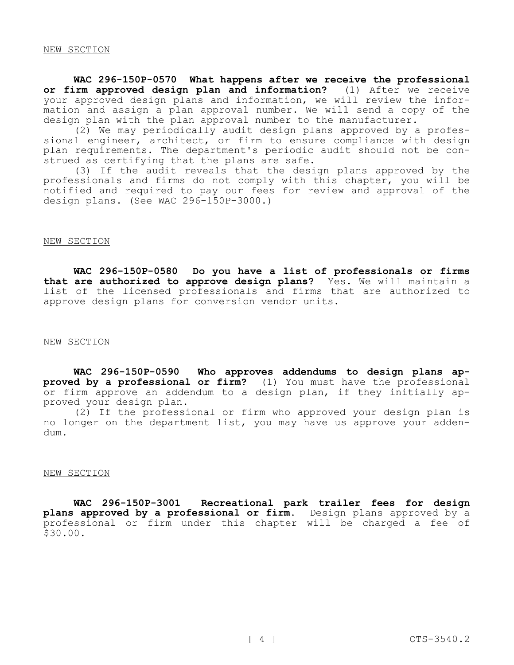### NEW SECTION

**WAC 296-150P-0570 What happens after we receive the professional or firm approved design plan and information?** (1) After we receive your approved design plans and information, we will review the information and assign a plan approval number. We will send a copy of the design plan with the plan approval number to the manufacturer.

(2) We may periodically audit design plans approved by a professional engineer, architect, or firm to ensure compliance with design plan requirements. The department's periodic audit should not be construed as certifying that the plans are safe.

(3) If the audit reveals that the design plans approved by the professionals and firms do not comply with this chapter, you will be notified and required to pay our fees for review and approval of the design plans. (See WAC 296-150P-3000.)

### NEW SECTION

**WAC 296-150P-0580 Do you have a list of professionals or firms that are authorized to approve design plans?** Yes. We will maintain a list of the licensed professionals and firms that are authorized to approve design plans for conversion vendor units.

# NEW SECTION

**WAC 296-150P-0590 Who approves addendums to design plans approved by a professional or firm?** (1) You must have the professional or firm approve an addendum to a design plan, if they initially approved your design plan.

(2) If the professional or firm who approved your design plan is no longer on the department list, you may have us approve your addendum.

### NEW SECTION

**WAC 296-150P-3001 Recreational park trailer fees for design plans approved by a professional or firm.** Design plans approved by a professional or firm under this chapter will be charged a fee of \$30.00.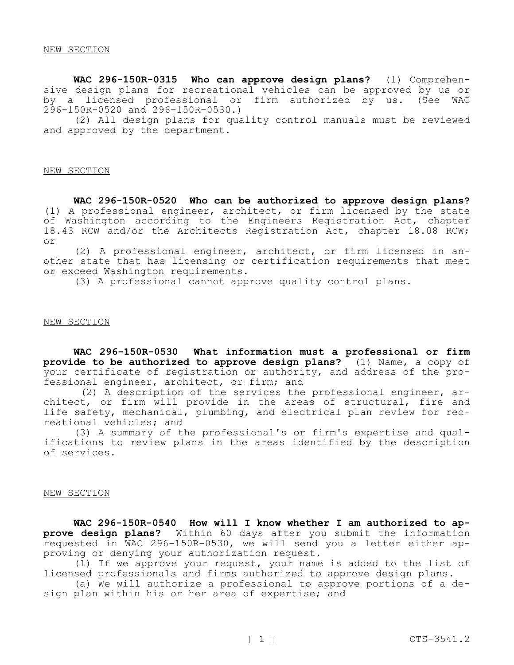**WAC 296-150R-0315 Who can approve design plans?** (1) Comprehensive design plans for recreational vehicles can be approved by us or by a licensed professional or firm authorized by us. (See WAC 296-150R-0520 and 296-150R-0530.)

(2) All design plans for quality control manuals must be reviewed and approved by the department.

#### NEW SECTION

**WAC 296-150R-0520 Who can be authorized to approve design plans?**  (1) A professional engineer, architect, or firm licensed by the state of Washington according to the Engineers Registration Act, chapter 18.43 RCW and/or the Architects Registration Act, chapter 18.08 RCW; or

(2) A professional engineer, architect, or firm licensed in another state that has licensing or certification requirements that meet or exceed Washington requirements.

(3) A professional cannot approve quality control plans.

#### NEW SECTION

**WAC 296-150R-0530 What information must a professional or firm provide to be authorized to approve design plans?** (1) Name, a copy of your certificate of registration or authority, and address of the professional engineer, architect, or firm; and

(2) A description of the services the professional engineer, architect, or firm will provide in the areas of structural, fire and life safety, mechanical, plumbing, and electrical plan review for recreational vehicles; and

(3) A summary of the professional's or firm's expertise and qualifications to review plans in the areas identified by the description of services.

### NEW SECTION

**WAC 296-150R-0540 How will I know whether I am authorized to approve design plans?** Within 60 days after you submit the information requested in WAC 296-150R-0530, we will send you a letter either approving or denying your authorization request.

(1) If we approve your request, your name is added to the list of licensed professionals and firms authorized to approve design plans.

(a) We will authorize a professional to approve portions of a design plan within his or her area of expertise; and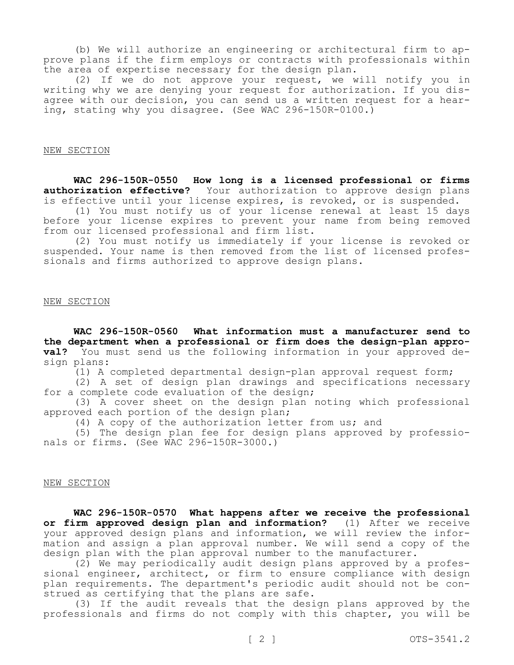(b) We will authorize an engineering or architectural firm to approve plans if the firm employs or contracts with professionals within the area of expertise necessary for the design plan.

(2) If we do not approve your request, we will notify you in writing why we are denying your request for authorization. If you disagree with our decision, you can send us a written request for a hearing, stating why you disagree. (See WAC 296-150R-0100.)

### NEW SECTION

**WAC 296-150R-0550 How long is a licensed professional or firms authorization effective?** Your authorization to approve design plans is effective until your license expires, is revoked, or is suspended.

(1) You must notify us of your license renewal at least 15 days before your license expires to prevent your name from being removed from our licensed professional and firm list.

(2) You must notify us immediately if your license is revoked or suspended. Your name is then removed from the list of licensed professionals and firms authorized to approve design plans.

#### NEW SECTION

**WAC 296-150R-0560 What information must a manufacturer send to the department when a professional or firm does the design-plan approval?** You must send us the following information in your approved design plans:

(1) A completed departmental design-plan approval request form;

(2) A set of design plan drawings and specifications necessary for a complete code evaluation of the design;

(3) A cover sheet on the design plan noting which professional approved each portion of the design plan;

(4) A copy of the authorization letter from us; and

(5) The design plan fee for design plans approved by professionals or firms. (See WAC 296-150R-3000.)

### NEW SECTION

**WAC 296-150R-0570 What happens after we receive the professional or firm approved design plan and information?** (1) After we receive your approved design plans and information, we will review the information and assign a plan approval number. We will send a copy of the design plan with the plan approval number to the manufacturer.

(2) We may periodically audit design plans approved by a professional engineer, architect, or firm to ensure compliance with design plan requirements. The department's periodic audit should not be construed as certifying that the plans are safe.

(3) If the audit reveals that the design plans approved by the professionals and firms do not comply with this chapter, you will be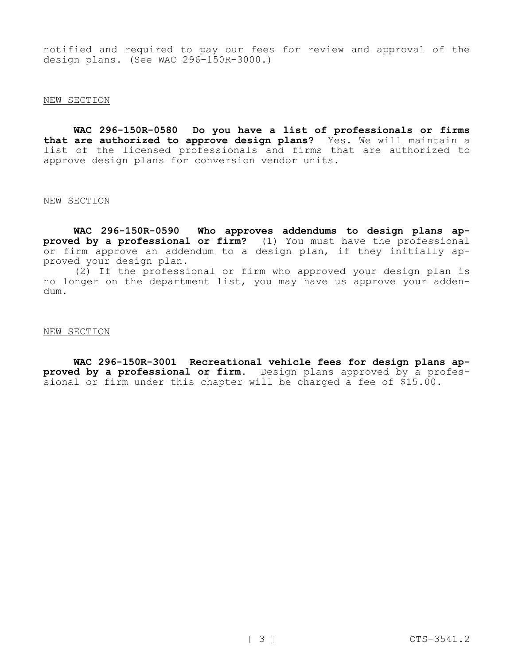notified and required to pay our fees for review and approval of the design plans. (See WAC 296-150R-3000.)

## NEW SECTION

**WAC 296-150R-0580 Do you have a list of professionals or firms that are authorized to approve design plans?** Yes. We will maintain a list of the licensed professionals and firms that are authorized to approve design plans for conversion vendor units.

# NEW SECTION

**WAC 296-150R-0590 Who approves addendums to design plans approved by a professional or firm?** (1) You must have the professional or firm approve an addendum to a design plan, if they initially approved your design plan.

(2) If the professional or firm who approved your design plan is no longer on the department list, you may have us approve your addendum.

# NEW SECTION

**WAC 296-150R-3001 Recreational vehicle fees for design plans approved by a professional or firm.** Design plans approved by a professional or firm under this chapter will be charged a fee of \$15.00.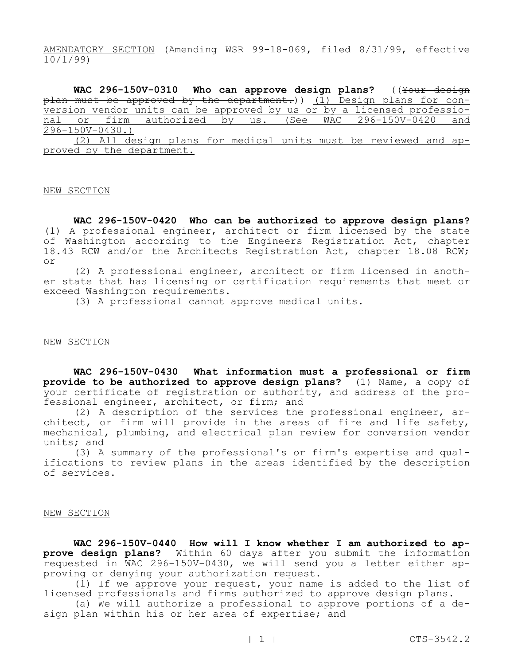AMENDATORY SECTION (Amending WSR 99-18-069, filed 8/31/99, effective 10/1/99)

WAC 296-150V-0310 Who can approve design plans? ((Your design plan must be approved by the department.)) (1) Design plans for conversion vendor units can be approved by us or by a licensed professional or firm authorized by us. (See WAC 296-150V-0420 and 296-150V-0430.)

(2) All design plans for medical units must be reviewed and approved by the department.

#### NEW SECTION

**WAC 296-150V-0420 Who can be authorized to approve design plans?**  (1) A professional engineer, architect or firm licensed by the state of Washington according to the Engineers Registration Act, chapter 18.43 RCW and/or the Architects Registration Act, chapter 18.08 RCW; or

(2) A professional engineer, architect or firm licensed in another state that has licensing or certification requirements that meet or exceed Washington requirements.

(3) A professional cannot approve medical units.

# NEW SECTION

**WAC 296-150V-0430 What information must a professional or firm provide to be authorized to approve design plans?** (1) Name, a copy of your certificate of registration or authority, and address of the professional engineer, architect, or firm; and

(2) A description of the services the professional engineer, architect, or firm will provide in the areas of fire and life safety, mechanical, plumbing, and electrical plan review for conversion vendor units; and

(3) A summary of the professional's or firm's expertise and qualifications to review plans in the areas identified by the description of services.

# NEW SECTION

WAC 296-150V-0440 How will I know whether I am authorized to ap**prove design plans?** Within 60 days after you submit the information requested in WAC 296-150V-0430, we will send you a letter either approving or denying your authorization request.

(1) If we approve your request, your name is added to the list of licensed professionals and firms authorized to approve design plans.

(a) We will authorize a professional to approve portions of a design plan within his or her area of expertise; and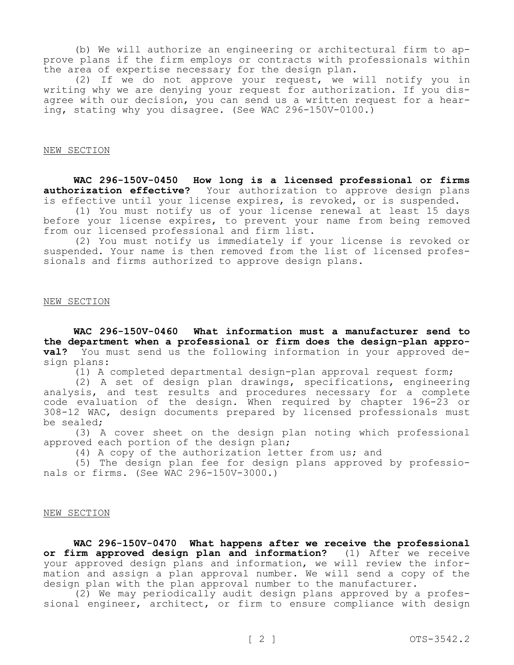(b) We will authorize an engineering or architectural firm to approve plans if the firm employs or contracts with professionals within the area of expertise necessary for the design plan.

(2) If we do not approve your request, we will notify you in writing why we are denying your request for authorization. If you disagree with our decision, you can send us a written request for a hearing, stating why you disagree. (See WAC 296-150V-0100.)

### NEW SECTION

**WAC 296-150V-0450 How long is a licensed professional or firms authorization effective?** Your authorization to approve design plans is effective until your license expires, is revoked, or is suspended.

(1) You must notify us of your license renewal at least 15 days before your license expires, to prevent your name from being removed from our licensed professional and firm list.

(2) You must notify us immediately if your license is revoked or suspended. Your name is then removed from the list of licensed professionals and firms authorized to approve design plans.

#### NEW SECTION

**WAC 296-150V-0460 What information must a manufacturer send to the department when a professional or firm does the design-plan approval?** You must send us the following information in your approved design plans:

(1) A completed departmental design-plan approval request form;

(2) A set of design plan drawings, specifications, engineering analysis, and test results and procedures necessary for a complete code evaluation of the design. When required by chapter 196-23 or 308-12 WAC, design documents prepared by licensed professionals must be sealed;

(3) A cover sheet on the design plan noting which professional approved each portion of the design plan;

(4) A copy of the authorization letter from us; and

(5) The design plan fee for design plans approved by professionals or firms. (See WAC 296-150V-3000.)

# NEW SECTION

**WAC 296-150V-0470 What happens after we receive the professional or firm approved design plan and information?** (1) After we receive your approved design plans and information, we will review the information and assign a plan approval number. We will send a copy of the design plan with the plan approval number to the manufacturer.

(2) We may periodically audit design plans approved by a professional engineer, architect, or firm to ensure compliance with design